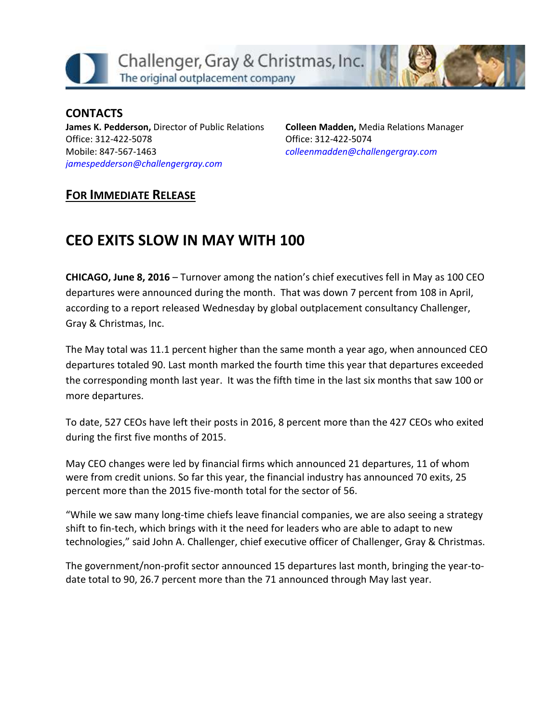



**CONTACTS James K. Pedderson,** Director of Public Relations Office: 312-422-5078 Mobile: 847-567-1463 *[jamespedderson@challengergray.com](mailto:jamespedderson@challengergray.com)*

**Colleen Madden,** Media Relations Manager Office: 312-422-5074 *[colleenmadden@challengergray.com](mailto:colleenmadden@challengergray.com)*

### **FOR IMMEDIATE RELEASE**

# **CEO EXITS SLOW IN MAY WITH 100**

**CHICAGO, June 8, 2016** – Turnover among the nation's chief executives fell in May as 100 CEO departures were announced during the month. That was down 7 percent from 108 in April, according to a report released Wednesday by global outplacement consultancy Challenger, Gray & Christmas, Inc.

The May total was 11.1 percent higher than the same month a year ago, when announced CEO departures totaled 90. Last month marked the fourth time this year that departures exceeded the corresponding month last year. It was the fifth time in the last six months that saw 100 or more departures.

To date, 527 CEOs have left their posts in 2016, 8 percent more than the 427 CEOs who exited during the first five months of 2015.

May CEO changes were led by financial firms which announced 21 departures, 11 of whom were from credit unions. So far this year, the financial industry has announced 70 exits, 25 percent more than the 2015 five-month total for the sector of 56.

"While we saw many long-time chiefs leave financial companies, we are also seeing a strategy shift to fin-tech, which brings with it the need for leaders who are able to adapt to new technologies," said John A. Challenger, chief executive officer of Challenger, Gray & Christmas.

The government/non-profit sector announced 15 departures last month, bringing the year-todate total to 90, 26.7 percent more than the 71 announced through May last year.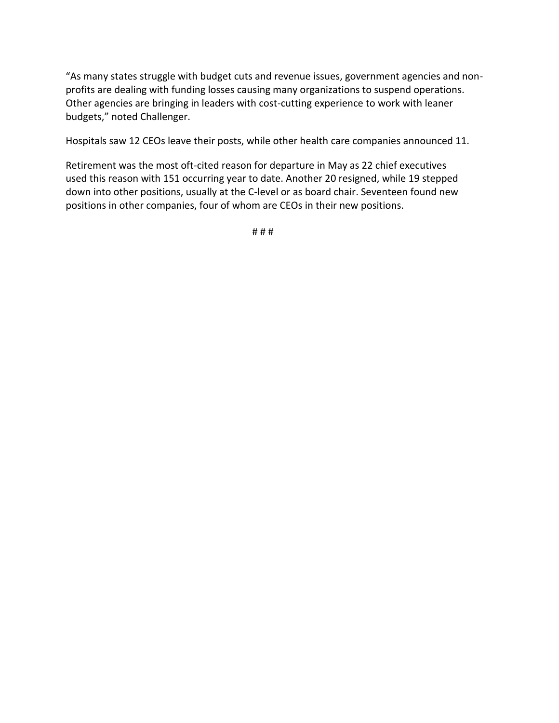"As many states struggle with budget cuts and revenue issues, government agencies and nonprofits are dealing with funding losses causing many organizations to suspend operations. Other agencies are bringing in leaders with cost-cutting experience to work with leaner budgets," noted Challenger.

Hospitals saw 12 CEOs leave their posts, while other health care companies announced 11.

Retirement was the most oft-cited reason for departure in May as 22 chief executives used this reason with 151 occurring year to date. Another 20 resigned, while 19 stepped down into other positions, usually at the C-level or as board chair. Seventeen found new positions in other companies, four of whom are CEOs in their new positions.

# # #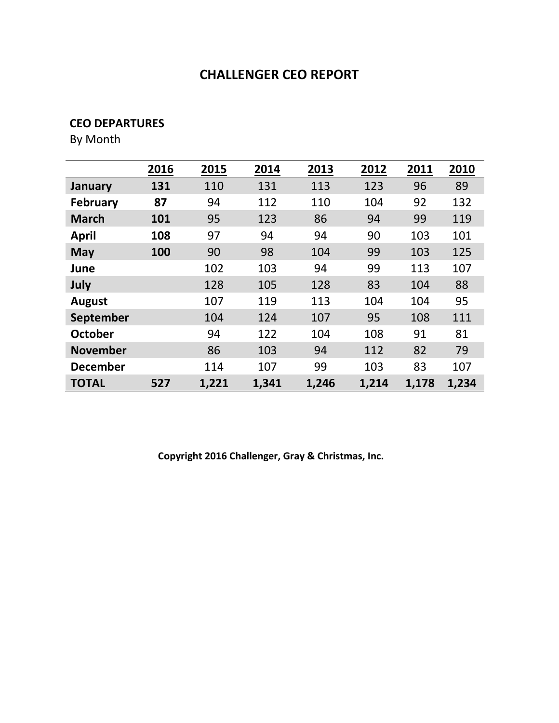#### **CEO DEPARTURES**

By Month

|                 | 2016 | 2015  | 2014  | 2013  | 2012  | 2011  | 2010  |
|-----------------|------|-------|-------|-------|-------|-------|-------|
| January         | 131  | 110   | 131   | 113   | 123   | 96    | 89    |
| <b>February</b> | 87   | 94    | 112   | 110   | 104   | 92    | 132   |
| <b>March</b>    | 101  | 95    | 123   | 86    | 94    | 99    | 119   |
| <b>April</b>    | 108  | 97    | 94    | 94    | 90    | 103   | 101   |
| <b>May</b>      | 100  | 90    | 98    | 104   | 99    | 103   | 125   |
| June            |      | 102   | 103   | 94    | 99    | 113   | 107   |
| July            |      | 128   | 105   | 128   | 83    | 104   | 88    |
| <b>August</b>   |      | 107   | 119   | 113   | 104   | 104   | 95    |
| September       |      | 104   | 124   | 107   | 95    | 108   | 111   |
| <b>October</b>  |      | 94    | 122   | 104   | 108   | 91    | 81    |
| <b>November</b> |      | 86    | 103   | 94    | 112   | 82    | 79    |
| <b>December</b> |      | 114   | 107   | 99    | 103   | 83    | 107   |
| <b>TOTAL</b>    | 527  | 1,221 | 1,341 | 1,246 | 1,214 | 1,178 | 1,234 |

**Copyright 2016 Challenger, Gray & Christmas, Inc.**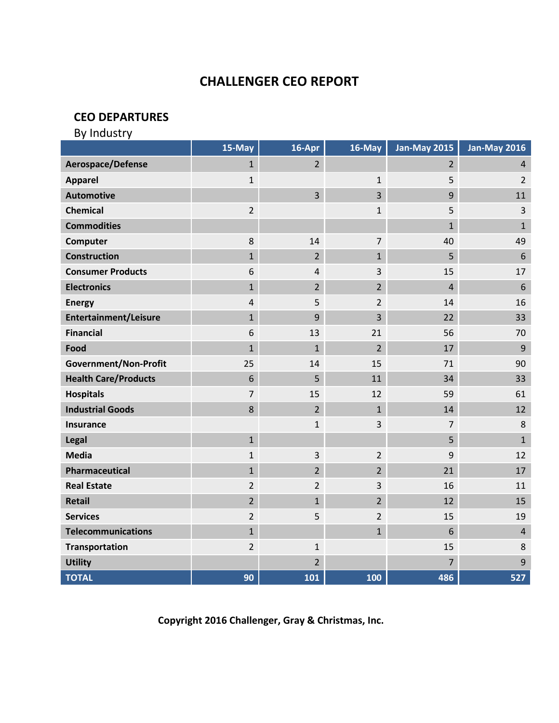#### **CEO DEPARTURES**

| By Industry                  |                |                |                |                     |                     |
|------------------------------|----------------|----------------|----------------|---------------------|---------------------|
|                              | 15-May         | $16 - Apr$     | 16-May         | <b>Jan-May 2015</b> | <b>Jan-May 2016</b> |
| Aerospace/Defense            | $\mathbf{1}$   | $\overline{2}$ |                | $\overline{2}$      | $\overline{4}$      |
| <b>Apparel</b>               | $\mathbf 1$    |                | $\mathbf 1$    | 5                   | $\overline{2}$      |
| <b>Automotive</b>            |                | $\overline{3}$ | 3              | 9                   | 11                  |
| <b>Chemical</b>              | $\overline{2}$ |                | $\mathbf{1}$   | 5                   | 3                   |
| <b>Commodities</b>           |                |                |                | $\mathbf{1}$        | $\mathbf{1}$        |
| Computer                     | $\bf 8$        | 14             | $\overline{7}$ | 40                  | 49                  |
| <b>Construction</b>          | $\mathbf{1}$   | $\overline{2}$ | $\mathbf{1}$   | 5                   | 6                   |
| <b>Consumer Products</b>     | $\,$ 6 $\,$    | 4              | 3              | 15                  | 17                  |
| <b>Electronics</b>           | $\mathbf{1}$   | $\overline{2}$ | $\overline{2}$ | 4                   | $6\phantom{1}6$     |
| <b>Energy</b>                | $\overline{4}$ | 5              | $\overline{2}$ | 14                  | 16                  |
| <b>Entertainment/Leisure</b> | $\mathbf{1}$   | 9              | 3              | 22                  | 33                  |
| <b>Financial</b>             | 6              | 13             | 21             | 56                  | 70                  |
| Food                         | $\mathbf{1}$   | $\mathbf{1}$   | $\overline{2}$ | 17                  | 9                   |
| Government/Non-Profit        | 25             | 14             | 15             | 71                  | 90                  |
| <b>Health Care/Products</b>  | 6              | 5              | 11             | 34                  | 33                  |
| <b>Hospitals</b>             | $\overline{7}$ | 15             | 12             | 59                  | 61                  |
| <b>Industrial Goods</b>      | 8              | $\overline{2}$ | $\mathbf{1}$   | 14                  | 12                  |
| <b>Insurance</b>             |                | $\mathbf{1}$   | 3              | $\overline{7}$      | 8                   |
| Legal                        | $\mathbf{1}$   |                |                | 5                   | $\mathbf{1}$        |
| <b>Media</b>                 | $\mathbf 1$    | 3              | $\overline{2}$ | 9                   | 12                  |
| Pharmaceutical               | $\mathbf{1}$   | $\overline{2}$ | $\overline{2}$ | 21                  | 17                  |
| <b>Real Estate</b>           | $\overline{2}$ | $\overline{2}$ | 3              | 16                  | 11                  |
| <b>Retail</b>                | $\overline{2}$ | $\mathbf{1}$   | $\overline{2}$ | 12                  | 15                  |
| <b>Services</b>              | $\overline{2}$ | 5              | $\overline{2}$ | 15                  | 19                  |
| <b>Telecommunications</b>    | $\mathbf{1}$   |                | $\mathbf{1}$   | 6                   | $\overline{4}$      |
| <b>Transportation</b>        | $\overline{2}$ | $\mathbf{1}$   |                | 15                  | 8                   |
| <b>Utility</b>               |                | $\overline{2}$ |                | 7                   | 9                   |
| <b>TOTAL</b>                 | 90             | 101            | 100            | 486                 | 527                 |

**Copyright 2016 Challenger, Gray & Christmas, Inc.**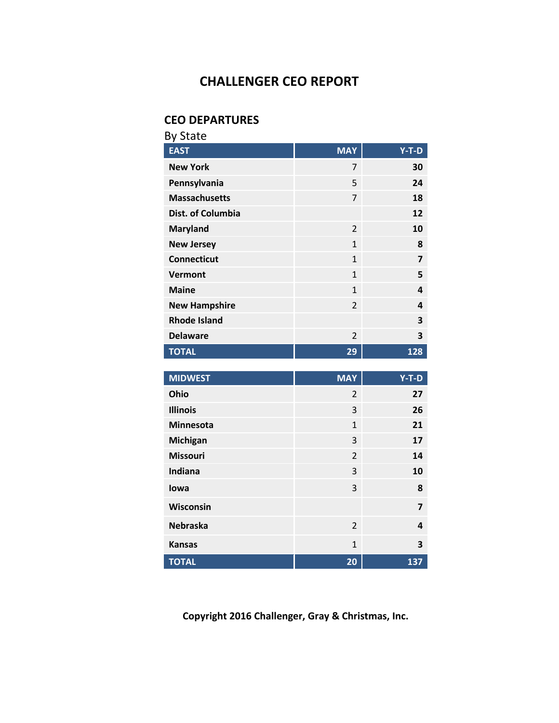### **CEO DEPARTURES**

| <b>By State</b>      |                |                |
|----------------------|----------------|----------------|
| <b>EAST</b>          | <b>MAY</b>     | Y-T-D          |
| <b>New York</b>      | 7              | 30             |
| Pennsylvania         | 5              | 24             |
| <b>Massachusetts</b> | $\overline{7}$ | 18             |
| Dist. of Columbia    |                | 12             |
| <b>Maryland</b>      | $\overline{2}$ | 10             |
| <b>New Jersey</b>    | $\mathbf{1}$   | 8              |
| <b>Connecticut</b>   | $\mathbf{1}$   | $\overline{7}$ |
| Vermont              | $\mathbf{1}$   | 5              |
| <b>Maine</b>         | $\mathbf{1}$   | 4              |
| <b>New Hampshire</b> | $\overline{2}$ | 4              |
| <b>Rhode Island</b>  |                | 3              |
| <b>Delaware</b>      | $\overline{2}$ | 3              |
| <b>TOTAL</b>         | 29             | 128            |
|                      |                |                |
| <b>MIDWEST</b>       | <b>MAY</b>     | Y-T-D          |
| Ohio                 | $\overline{2}$ | 27             |
| <b>Illinois</b>      | 3              | 26             |
| <b>Minnesota</b>     | $\mathbf{1}$   | 21             |
| Michigan             | 3              | 17             |
| <b>Missouri</b>      | $\overline{2}$ | 14             |

**Copyright 2016 Challenger, Gray & Christmas, Inc.**

**Indiana** 3 **10**

**Iowa** 3 **8 Wisconsin 7 Nebraska** 2 **4**

**Kansas** 1 **3 TOTAL 20 137**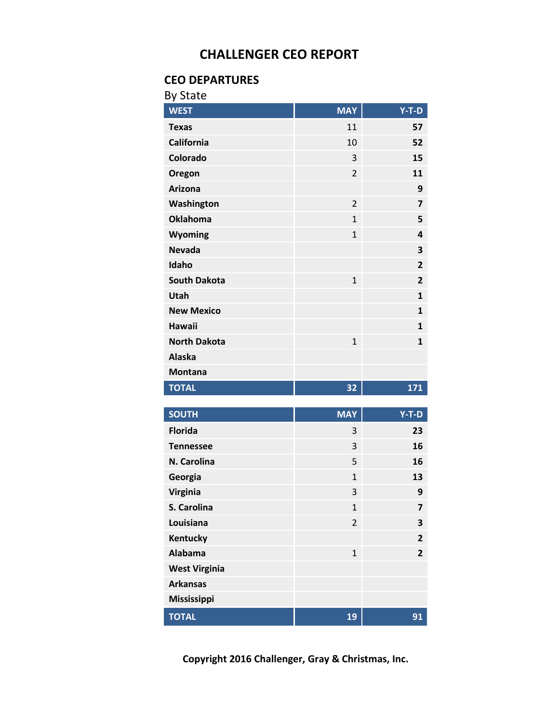#### **CEO DEPARTURES**

| <b>By State</b>             |                |                         |
|-----------------------------|----------------|-------------------------|
| <b>WEST</b>                 | <b>MAY</b>     | $Y-T-D$                 |
| <b>Texas</b>                | 11             | 57                      |
| <b>California</b>           | 10             | 52                      |
| Colorado                    | 3              | 15                      |
| Oregon                      | $\overline{2}$ | 11                      |
| <b>Arizona</b>              |                | 9                       |
| Washington                  | $\overline{2}$ | 7                       |
| <b>Oklahoma</b>             | $\mathbf{1}$   | 5                       |
| Wyoming                     | $\overline{1}$ | 4                       |
| <b>Nevada</b>               |                | 3                       |
| Idaho                       |                | $\overline{\mathbf{c}}$ |
| <b>South Dakota</b>         | $\mathbf{1}$   | $\overline{2}$          |
| Utah                        |                | $\mathbf{1}$            |
| <b>New Mexico</b>           |                | $\mathbf{1}$            |
| <b>Hawaii</b>               |                | $\mathbf{1}$            |
| <b>North Dakota</b>         | $\mathbf{1}$   | 1                       |
| <b>Alaska</b>               |                |                         |
| <b>Montana</b>              |                |                         |
| <b>TOTAL</b>                | 32             | 171                     |
|                             |                |                         |
|                             |                |                         |
| <b>SOUTH</b>                | <b>MAY</b>     | $Y-T-D$                 |
| <b>Florida</b>              | 3              | 23                      |
| <b>Tennessee</b>            | 3              | 16                      |
| N. Carolina                 | 5              | 16                      |
| Georgia                     | $\mathbf 1$    | 13                      |
| Virginia                    | 3              | 9                       |
| S. Carolina                 | $\mathbf{1}$   | 7                       |
| Louisiana                   | $\overline{2}$ | 3                       |
| Kentucky                    |                | $\overline{\mathbf{c}}$ |
| <b>Alabama</b>              | $\mathbf{1}$   | $\overline{2}$          |
| <b>West Virginia</b>        |                |                         |
| <b>Arkansas</b>             |                |                         |
| Mississippi<br><b>TOTAL</b> | 19             |                         |

**Copyright 2016 Challenger, Gray & Christmas, Inc.**